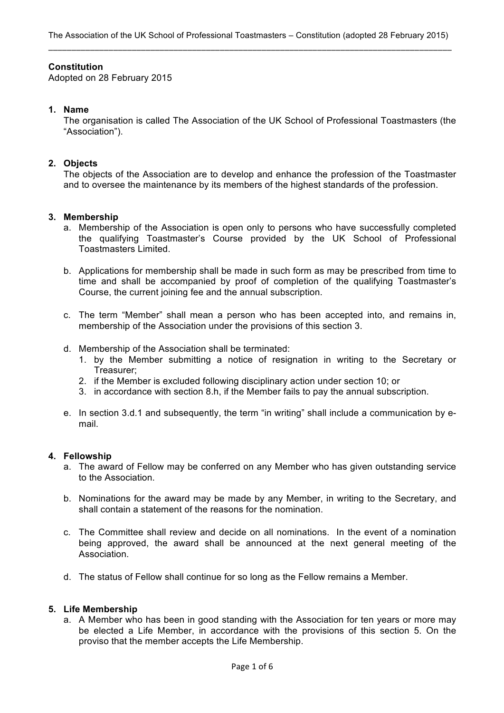# **Constitution**

Adopted on 28 February 2015

# **1. Name**

The organisation is called The Association of the UK School of Professional Toastmasters (the "Association").

# **2. Objects**

The objects of the Association are to develop and enhance the profession of the Toastmaster and to oversee the maintenance by its members of the highest standards of the profession.

#### **3. Membership**

- a. Membership of the Association is open only to persons who have successfully completed the qualifying Toastmaster's Course provided by the UK School of Professional Toastmasters Limited.
- b. Applications for membership shall be made in such form as may be prescribed from time to time and shall be accompanied by proof of completion of the qualifying Toastmaster's Course, the current joining fee and the annual subscription.
- c. The term "Member" shall mean a person who has been accepted into, and remains in, membership of the Association under the provisions of this section 3.
- d. Membership of the Association shall be terminated:
	- 1. by the Member submitting a notice of resignation in writing to the Secretary or Treasurer;
	- 2. if the Member is excluded following disciplinary action under section 10; or
	- 3. in accordance with section 8.h, if the Member fails to pay the annual subscription.
- e. In section 3.d.1 and subsequently, the term "in writing" shall include a communication by email.

#### **4. Fellowship**

- a. The award of Fellow may be conferred on any Member who has given outstanding service to the Association.
- b. Nominations for the award may be made by any Member, in writing to the Secretary, and shall contain a statement of the reasons for the nomination.
- c. The Committee shall review and decide on all nominations. In the event of a nomination being approved, the award shall be announced at the next general meeting of the Association.
- d. The status of Fellow shall continue for so long as the Fellow remains a Member.

#### **5. Life Membership**

a. A Member who has been in good standing with the Association for ten years or more may be elected a Life Member, in accordance with the provisions of this section 5. On the proviso that the member accepts the Life Membership.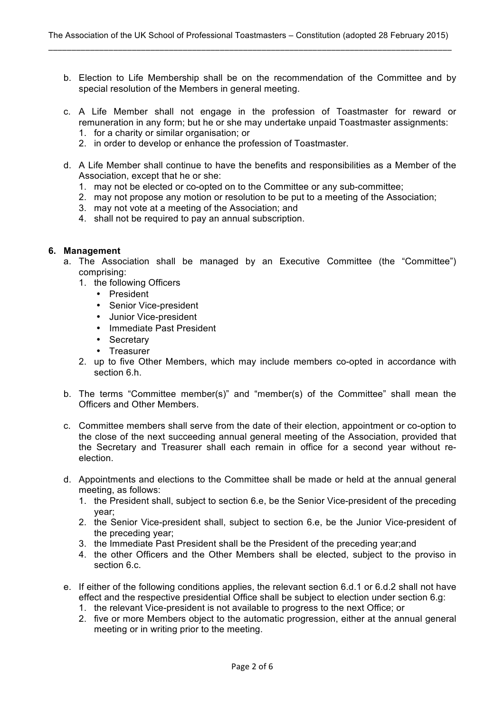- b. Election to Life Membership shall be on the recommendation of the Committee and by special resolution of the Members in general meeting.
- c. A Life Member shall not engage in the profession of Toastmaster for reward or remuneration in any form; but he or she may undertake unpaid Toastmaster assignments:
	- 1. for a charity or similar organisation; or
	- 2. in order to develop or enhance the profession of Toastmaster.
- d. A Life Member shall continue to have the benefits and responsibilities as a Member of the Association, except that he or she:
	- 1. may not be elected or co-opted on to the Committee or any sub-committee;
	- 2. may not propose any motion or resolution to be put to a meeting of the Association;
	- 3. may not vote at a meeting of the Association; and
	- 4. shall not be required to pay an annual subscription.

## **6. Management**

- a. The Association shall be managed by an Executive Committee (the "Committee") comprising:
	- 1. the following Officers
		- President
		- Senior Vice-president
		- Junior Vice-president
		- Immediate Past President
		- Secretary
		- Treasurer
	- 2. up to five Other Members, which may include members co-opted in accordance with section 6.h.
- b. The terms "Committee member(s)" and "member(s) of the Committee" shall mean the Officers and Other Members.
- c. Committee members shall serve from the date of their election, appointment or co-option to the close of the next succeeding annual general meeting of the Association, provided that the Secretary and Treasurer shall each remain in office for a second year without reelection.
- d. Appointments and elections to the Committee shall be made or held at the annual general meeting, as follows:
	- 1. the President shall, subject to section 6.e, be the Senior Vice-president of the preceding year;
	- 2. the Senior Vice-president shall, subject to section 6.e, be the Junior Vice-president of the preceding year;
	- 3. the Immediate Past President shall be the President of the preceding year;and
	- 4. the other Officers and the Other Members shall be elected, subject to the proviso in section 6.c.
- e. If either of the following conditions applies, the relevant section 6.d.1 or 6.d.2 shall not have effect and the respective presidential Office shall be subject to election under section 6.g:
	- 1. the relevant Vice-president is not available to progress to the next Office; or
	- 2. five or more Members object to the automatic progression, either at the annual general meeting or in writing prior to the meeting.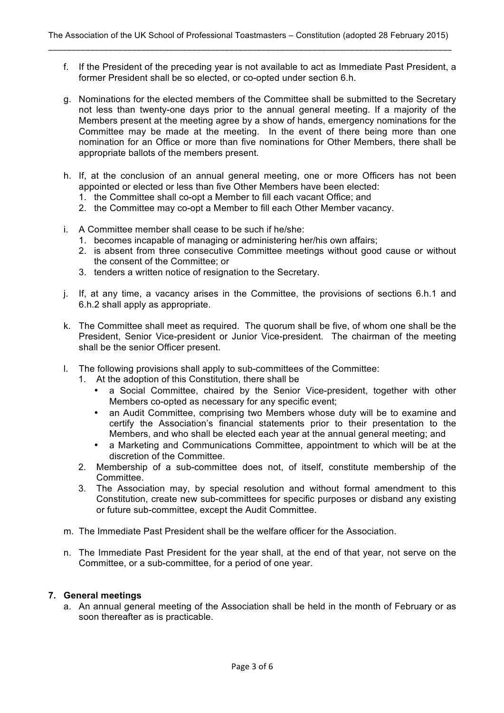- f. If the President of the preceding year is not available to act as Immediate Past President, a former President shall be so elected, or co-opted under section 6.h.
- g. Nominations for the elected members of the Committee shall be submitted to the Secretary not less than twenty-one days prior to the annual general meeting. If a majority of the Members present at the meeting agree by a show of hands, emergency nominations for the Committee may be made at the meeting. In the event of there being more than one nomination for an Office or more than five nominations for Other Members, there shall be appropriate ballots of the members present.
- h. If, at the conclusion of an annual general meeting, one or more Officers has not been appointed or elected or less than five Other Members have been elected:
	- 1. the Committee shall co-opt a Member to fill each vacant Office; and
	- 2. the Committee may co-opt a Member to fill each Other Member vacancy.
- i. A Committee member shall cease to be such if he/she:
	- 1. becomes incapable of managing or administering her/his own affairs;
	- 2. is absent from three consecutive Committee meetings without good cause or without the consent of the Committee; or
	- 3. tenders a written notice of resignation to the Secretary.
- j. If, at any time, a vacancy arises in the Committee, the provisions of sections 6.h.1 and 6.h.2 shall apply as appropriate.
- k. The Committee shall meet as required. The quorum shall be five, of whom one shall be the President, Senior Vice-president or Junior Vice-president. The chairman of the meeting shall be the senior Officer present.
- l. The following provisions shall apply to sub-committees of the Committee:
	- 1. At the adoption of this Constitution, there shall be
		- a Social Committee, chaired by the Senior Vice-president, together with other Members co-opted as necessary for any specific event;
		- an Audit Committee, comprising two Members whose duty will be to examine and certify the Association's financial statements prior to their presentation to the Members, and who shall be elected each year at the annual general meeting; and
		- a Marketing and Communications Committee, appointment to which will be at the discretion of the Committee.
	- 2. Membership of a sub-committee does not, of itself, constitute membership of the Committee.
	- 3. The Association may, by special resolution and without formal amendment to this Constitution, create new sub-committees for specific purposes or disband any existing or future sub-committee, except the Audit Committee.
- m. The Immediate Past President shall be the welfare officer for the Association.
- n. The Immediate Past President for the year shall, at the end of that year, not serve on the Committee, or a sub-committee, for a period of one year.

#### **7. General meetings**

a. An annual general meeting of the Association shall be held in the month of February or as soon thereafter as is practicable.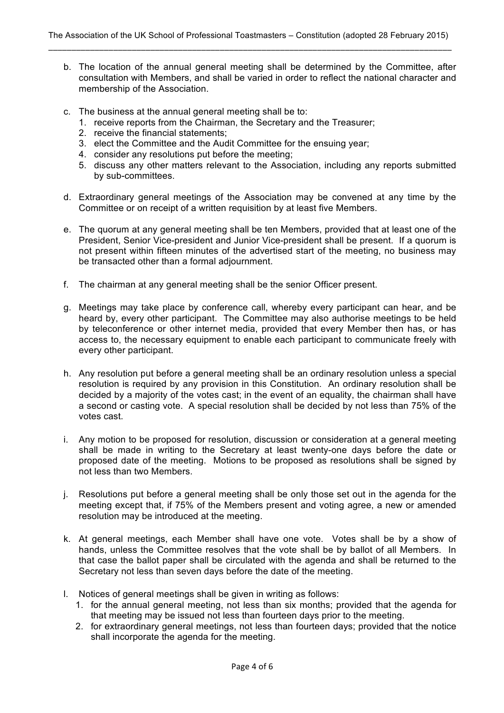- b. The location of the annual general meeting shall be determined by the Committee, after consultation with Members, and shall be varied in order to reflect the national character and membership of the Association.
- c. The business at the annual general meeting shall be to:
	- 1. receive reports from the Chairman, the Secretary and the Treasurer;
	- 2. receive the financial statements;
	- 3. elect the Committee and the Audit Committee for the ensuing year;
	- 4. consider any resolutions put before the meeting;
	- 5. discuss any other matters relevant to the Association, including any reports submitted by sub-committees.
- d. Extraordinary general meetings of the Association may be convened at any time by the Committee or on receipt of a written requisition by at least five Members.
- e. The quorum at any general meeting shall be ten Members, provided that at least one of the President, Senior Vice-president and Junior Vice-president shall be present. If a quorum is not present within fifteen minutes of the advertised start of the meeting, no business may be transacted other than a formal adjournment.
- f. The chairman at any general meeting shall be the senior Officer present.
- g. Meetings may take place by conference call, whereby every participant can hear, and be heard by, every other participant. The Committee may also authorise meetings to be held by teleconference or other internet media, provided that every Member then has, or has access to, the necessary equipment to enable each participant to communicate freely with every other participant.
- h. Any resolution put before a general meeting shall be an ordinary resolution unless a special resolution is required by any provision in this Constitution. An ordinary resolution shall be decided by a majority of the votes cast; in the event of an equality, the chairman shall have a second or casting vote. A special resolution shall be decided by not less than 75% of the votes cast.
- i. Any motion to be proposed for resolution, discussion or consideration at a general meeting shall be made in writing to the Secretary at least twenty-one days before the date or proposed date of the meeting. Motions to be proposed as resolutions shall be signed by not less than two Members.
- j. Resolutions put before a general meeting shall be only those set out in the agenda for the meeting except that, if 75% of the Members present and voting agree, a new or amended resolution may be introduced at the meeting.
- k. At general meetings, each Member shall have one vote. Votes shall be by a show of hands, unless the Committee resolves that the vote shall be by ballot of all Members. In that case the ballot paper shall be circulated with the agenda and shall be returned to the Secretary not less than seven days before the date of the meeting.
- l. Notices of general meetings shall be given in writing as follows:
	- 1. for the annual general meeting, not less than six months; provided that the agenda for that meeting may be issued not less than fourteen days prior to the meeting.
	- 2. for extraordinary general meetings, not less than fourteen days; provided that the notice shall incorporate the agenda for the meeting.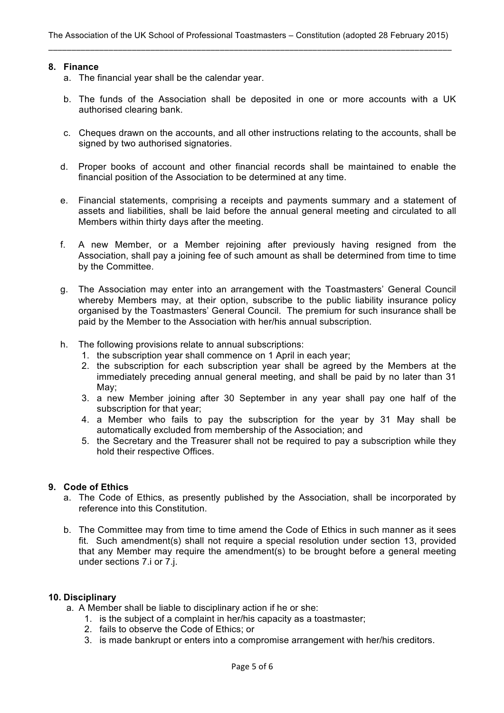#### **8. Finance**

- a. The financial year shall be the calendar year.
- b. The funds of the Association shall be deposited in one or more accounts with a UK authorised clearing bank.
- c. Cheques drawn on the accounts, and all other instructions relating to the accounts, shall be signed by two authorised signatories.
- d. Proper books of account and other financial records shall be maintained to enable the financial position of the Association to be determined at any time.
- e. Financial statements, comprising a receipts and payments summary and a statement of assets and liabilities, shall be laid before the annual general meeting and circulated to all Members within thirty days after the meeting.
- f. A new Member, or a Member rejoining after previously having resigned from the Association, shall pay a joining fee of such amount as shall be determined from time to time by the Committee.
- g. The Association may enter into an arrangement with the Toastmasters' General Council whereby Members may, at their option, subscribe to the public liability insurance policy organised by the Toastmasters' General Council. The premium for such insurance shall be paid by the Member to the Association with her/his annual subscription.
- h. The following provisions relate to annual subscriptions:
	- 1. the subscription year shall commence on 1 April in each year;
	- 2. the subscription for each subscription year shall be agreed by the Members at the immediately preceding annual general meeting, and shall be paid by no later than 31 May;
	- 3. a new Member joining after 30 September in any year shall pay one half of the subscription for that year;
	- 4. a Member who fails to pay the subscription for the year by 31 May shall be automatically excluded from membership of the Association; and
	- 5. the Secretary and the Treasurer shall not be required to pay a subscription while they hold their respective Offices.

# **9. Code of Ethics**

- a. The Code of Ethics, as presently published by the Association, shall be incorporated by reference into this Constitution.
- b. The Committee may from time to time amend the Code of Ethics in such manner as it sees fit. Such amendment(s) shall not require a special resolution under section 13, provided that any Member may require the amendment(s) to be brought before a general meeting under sections 7.i or 7.j.

# **10. Disciplinary**

a. A Member shall be liable to disciplinary action if he or she:

- 1. is the subject of a complaint in her/his capacity as a toastmaster;
- 2. fails to observe the Code of Ethics; or
- 3. is made bankrupt or enters into a compromise arrangement with her/his creditors.